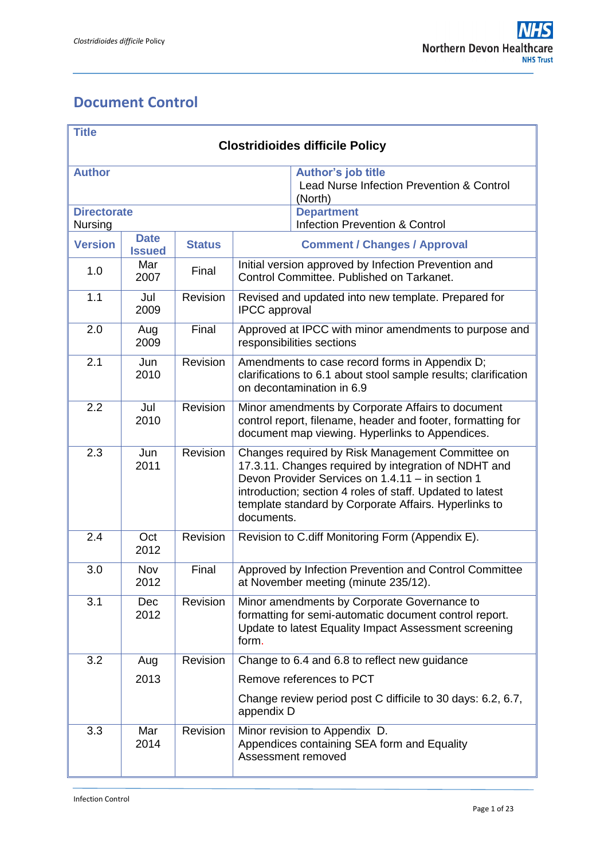## <span id="page-0-0"></span>**Document Control**

| <b>Title</b>                           |               |               |                                                                                                                                                                                                                                                                                                  |                                           |  |
|----------------------------------------|---------------|---------------|--------------------------------------------------------------------------------------------------------------------------------------------------------------------------------------------------------------------------------------------------------------------------------------------------|-------------------------------------------|--|
| <b>Clostridioides difficile Policy</b> |               |               |                                                                                                                                                                                                                                                                                                  |                                           |  |
| <b>Author</b>                          |               |               | <b>Author's job title</b><br>Lead Nurse Infection Prevention & Control<br>(North)                                                                                                                                                                                                                |                                           |  |
| <b>Directorate</b>                     |               |               | <b>Department</b>                                                                                                                                                                                                                                                                                |                                           |  |
| Nursing                                | <b>Date</b>   |               |                                                                                                                                                                                                                                                                                                  | <b>Infection Prevention &amp; Control</b> |  |
| <b>Version</b>                         | <b>Issued</b> | <b>Status</b> | <b>Comment / Changes / Approval</b>                                                                                                                                                                                                                                                              |                                           |  |
| 1.0                                    | Mar<br>2007   | Final         | Initial version approved by Infection Prevention and<br>Control Committee. Published on Tarkanet.                                                                                                                                                                                                |                                           |  |
| 1.1                                    | Jul<br>2009   | Revision      | Revised and updated into new template. Prepared for<br><b>IPCC</b> approval                                                                                                                                                                                                                      |                                           |  |
| 2.0                                    | Aug<br>2009   | Final         | Approved at IPCC with minor amendments to purpose and<br>responsibilities sections                                                                                                                                                                                                               |                                           |  |
| 2.1                                    | Jun<br>2010   | Revision      | Amendments to case record forms in Appendix D;<br>clarifications to 6.1 about stool sample results; clarification<br>on decontamination in 6.9                                                                                                                                                   |                                           |  |
| 2.2                                    | Jul<br>2010   | Revision      | Minor amendments by Corporate Affairs to document<br>control report, filename, header and footer, formatting for<br>document map viewing. Hyperlinks to Appendices.                                                                                                                              |                                           |  |
| 2.3                                    | Jun<br>2011   | Revision      | Changes required by Risk Management Committee on<br>17.3.11. Changes required by integration of NDHT and<br>Devon Provider Services on 1.4.11 - in section 1<br>introduction; section 4 roles of staff. Updated to latest<br>template standard by Corporate Affairs. Hyperlinks to<br>documents. |                                           |  |
| 2.4                                    | Oct<br>2012   | Revision      | Revision to C.diff Monitoring Form (Appendix E).                                                                                                                                                                                                                                                 |                                           |  |
| 3.0                                    | Nov<br>2012   | Final         | Approved by Infection Prevention and Control Committee<br>at November meeting (minute 235/12).                                                                                                                                                                                                   |                                           |  |
| 3.1                                    | Dec<br>2012   | Revision      | Minor amendments by Corporate Governance to<br>formatting for semi-automatic document control report.<br>Update to latest Equality Impact Assessment screening<br>form.                                                                                                                          |                                           |  |
| 3.2                                    | Aug           | Revision      | Change to 6.4 and 6.8 to reflect new guidance                                                                                                                                                                                                                                                    |                                           |  |
|                                        | 2013          |               | Remove references to PCT                                                                                                                                                                                                                                                                         |                                           |  |
|                                        |               |               | Change review period post C difficile to 30 days: 6.2, 6.7,<br>appendix D                                                                                                                                                                                                                        |                                           |  |
| 3.3                                    | Mar<br>2014   | Revision      | Minor revision to Appendix D.<br>Appendices containing SEA form and Equality<br>Assessment removed                                                                                                                                                                                               |                                           |  |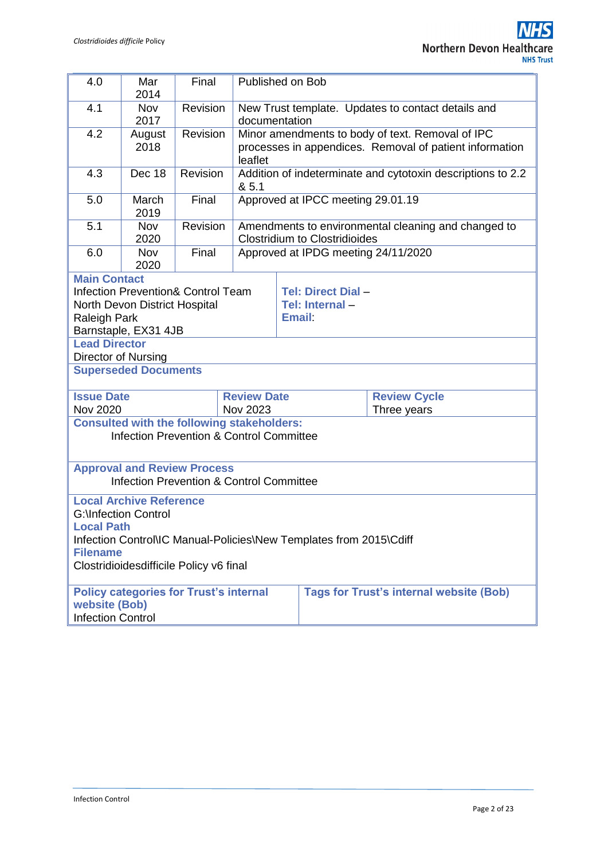| 4.0                                                                                                                                                                                                                           | Mar<br>2014                                                                | Final    |                                                                                                                        | Published on Bob                                                                            |  |  |
|-------------------------------------------------------------------------------------------------------------------------------------------------------------------------------------------------------------------------------|----------------------------------------------------------------------------|----------|------------------------------------------------------------------------------------------------------------------------|---------------------------------------------------------------------------------------------|--|--|
| 4.1                                                                                                                                                                                                                           | <b>Nov</b><br>2017                                                         | Revision | New Trust template. Updates to contact details and<br>documentation                                                    |                                                                                             |  |  |
| 4.2                                                                                                                                                                                                                           | August<br>2018                                                             | Revision | Minor amendments to body of text. Removal of IPC<br>processes in appendices. Removal of patient information<br>leaflet |                                                                                             |  |  |
| 4.3                                                                                                                                                                                                                           | Dec 18                                                                     | Revision | Addition of indeterminate and cytotoxin descriptions to 2.2<br>& 5.1                                                   |                                                                                             |  |  |
| 5.0                                                                                                                                                                                                                           | March<br>2019                                                              | Final    |                                                                                                                        | Approved at IPCC meeting 29.01.19                                                           |  |  |
| 5.1                                                                                                                                                                                                                           | Nov<br>2020                                                                | Revision |                                                                                                                        | Amendments to environmental cleaning and changed to<br><b>Clostridium to Clostridioides</b> |  |  |
| 6.0                                                                                                                                                                                                                           | <b>Nov</b><br>2020                                                         | Final    |                                                                                                                        | Approved at IPDG meeting 24/11/2020                                                         |  |  |
| <b>Main Contact</b><br>Tel: Direct Dial -<br><b>Infection Prevention&amp; Control Team</b><br>Tel: Internal-<br>North Devon District Hospital<br><b>Email</b><br>Raleigh Park<br>Barnstaple, EX31 4JB<br><b>Lead Director</b> |                                                                            |          |                                                                                                                        |                                                                                             |  |  |
| Director of Nursing<br><b>Superseded Documents</b>                                                                                                                                                                            |                                                                            |          |                                                                                                                        |                                                                                             |  |  |
| Nov 2020                                                                                                                                                                                                                      | <b>Issue Date</b><br><b>Review Date</b><br><b>Review Cycle</b><br>Nov 2023 |          |                                                                                                                        | Three years                                                                                 |  |  |
| <b>Consulted with the following stakeholders:</b><br><b>Infection Prevention &amp; Control Committee</b>                                                                                                                      |                                                                            |          |                                                                                                                        |                                                                                             |  |  |
| <b>Approval and Review Process</b><br><b>Infection Prevention &amp; Control Committee</b>                                                                                                                                     |                                                                            |          |                                                                                                                        |                                                                                             |  |  |
| <b>Local Archive Reference</b><br><b>G:</b> \Infection Control<br><b>Local Path</b><br>Infection Control\IC Manual-Policies\New Templates from 2015\Cdiff<br><b>Filename</b><br>Clostridioidesdifficile Policy v6 final       |                                                                            |          |                                                                                                                        |                                                                                             |  |  |
| <b>Policy categories for Trust's internal</b><br><b>Tags for Trust's internal website (Bob)</b><br>website (Bob)<br><b>Infection Control</b>                                                                                  |                                                                            |          |                                                                                                                        |                                                                                             |  |  |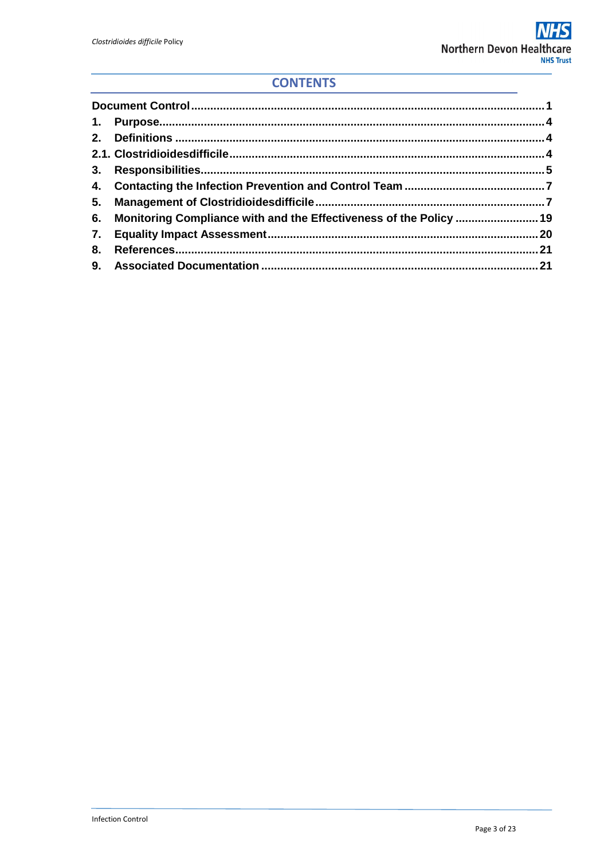### **CONTENTS**

|    | 6. Monitoring Compliance with and the Effectiveness of the Policy  19 |  |
|----|-----------------------------------------------------------------------|--|
|    |                                                                       |  |
| 8. |                                                                       |  |
|    |                                                                       |  |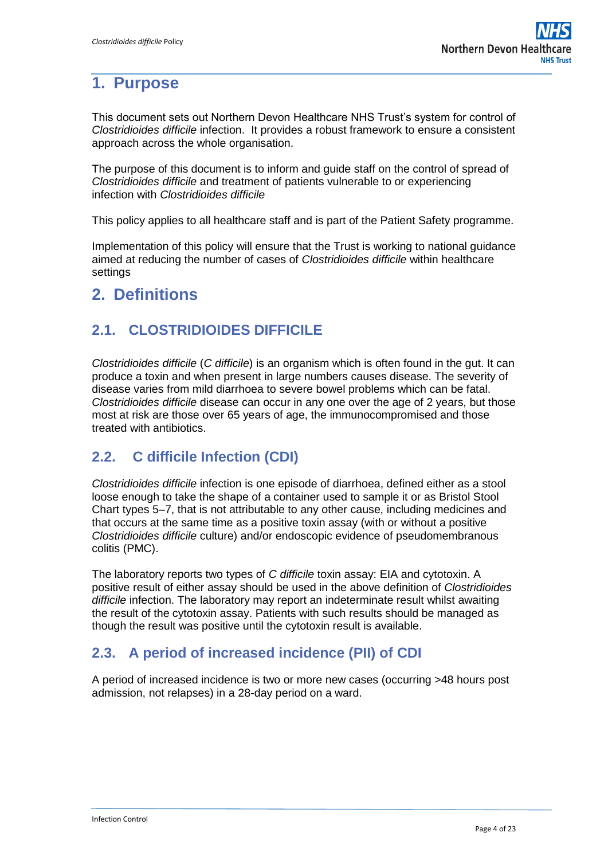## <span id="page-3-0"></span>**1. Purpose**

This document sets out Northern Devon Healthcare NHS Trust's system for control of *Clostridioides difficile* infection. It provides a robust framework to ensure a consistent approach across the whole organisation.

The purpose of this document is to inform and guide staff on the control of spread of *Clostridioides difficile* and treatment of patients vulnerable to or experiencing infection with *Clostridioides difficile*

This policy applies to all healthcare staff and is part of the Patient Safety programme.

Implementation of this policy will ensure that the Trust is working to national guidance aimed at reducing the number of cases of *Clostridioides difficile* within healthcare settings

## <span id="page-3-1"></span>**2. Definitions**

### <span id="page-3-2"></span>**2.1. CLOSTRIDIOIDES DIFFICILE**

*Clostridioides difficile* (*C difficile*) is an organism which is often found in the gut. It can produce a toxin and when present in large numbers causes disease. The severity of disease varies from mild diarrhoea to severe bowel problems which can be fatal. *Clostridioides difficile* disease can occur in any one over the age of 2 years, but those most at risk are those over 65 years of age, the immunocompromised and those treated with antibiotics.

### **2.2. C difficile Infection (CDI)**

*Clostridioides difficile* infection is one episode of diarrhoea, defined either as a stool loose enough to take the shape of a container used to sample it or as Bristol Stool Chart types 5–7, that is not attributable to any other cause, including medicines and that occurs at the same time as a positive toxin assay (with or without a positive *Clostridioides difficile* culture) and/or endoscopic evidence of pseudomembranous colitis (PMC).

The laboratory reports two types of *C difficile* toxin assay: EIA and cytotoxin. A positive result of either assay should be used in the above definition of *Clostridioides difficile* infection. The laboratory may report an indeterminate result whilst awaiting the result of the cytotoxin assay. Patients with such results should be managed as though the result was positive until the cytotoxin result is available.

### **2.3. A period of increased incidence (PII) of CDI**

A period of increased incidence is two or more new cases (occurring >48 hours post admission, not relapses) in a 28-day period on a ward.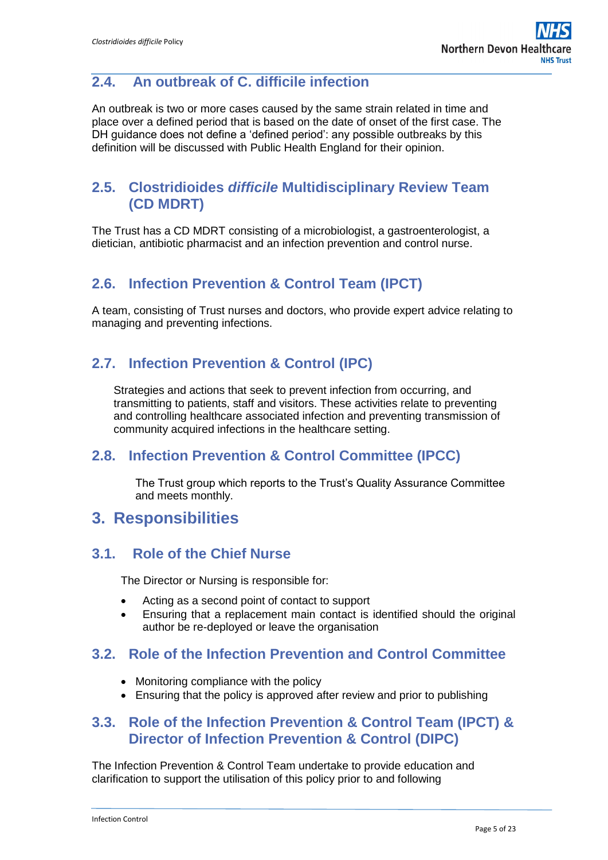## **2.4. An outbreak of C. difficile infection**

An outbreak is two or more cases caused by the same strain related in time and place over a defined period that is based on the date of onset of the first case. The DH guidance does not define a 'defined period': any possible outbreaks by this definition will be discussed with Public Health England for their opinion.

### **2.5. Clostridioides** *difficile* **Multidisciplinary Review Team (CD MDRT)**

The Trust has a CD MDRT consisting of a microbiologist, a gastroenterologist, a dietician, antibiotic pharmacist and an infection prevention and control nurse.

### **2.6. Infection Prevention & Control Team (IPCT)**

A team, consisting of Trust nurses and doctors, who provide expert advice relating to managing and preventing infections.

### **2.7. Infection Prevention & Control (IPC)**

Strategies and actions that seek to prevent infection from occurring, and transmitting to patients, staff and visitors. These activities relate to preventing and controlling healthcare associated infection and preventing transmission of community acquired infections in the healthcare setting.

### **2.8. Infection Prevention & Control Committee (IPCC)**

The Trust group which reports to the Trust's Quality Assurance Committee and meets monthly.

### <span id="page-4-0"></span>**3. Responsibilities**

#### **3.1. Role of the Chief Nurse**

The Director or Nursing is responsible for:

- Acting as a second point of contact to support
- Ensuring that a replacement main contact is identified should the original author be re-deployed or leave the organisation

### **3.2. Role of the Infection Prevention and Control Committee**

- Monitoring compliance with the policy
- Ensuring that the policy is approved after review and prior to publishing

### **3.3. Role of the Infection Prevent**i**on & Control Team (IPCT) & Director of Infection Prevention & Control (DIPC)**

The Infection Prevention & Control Team undertake to provide education and clarification to support the utilisation of this policy prior to and following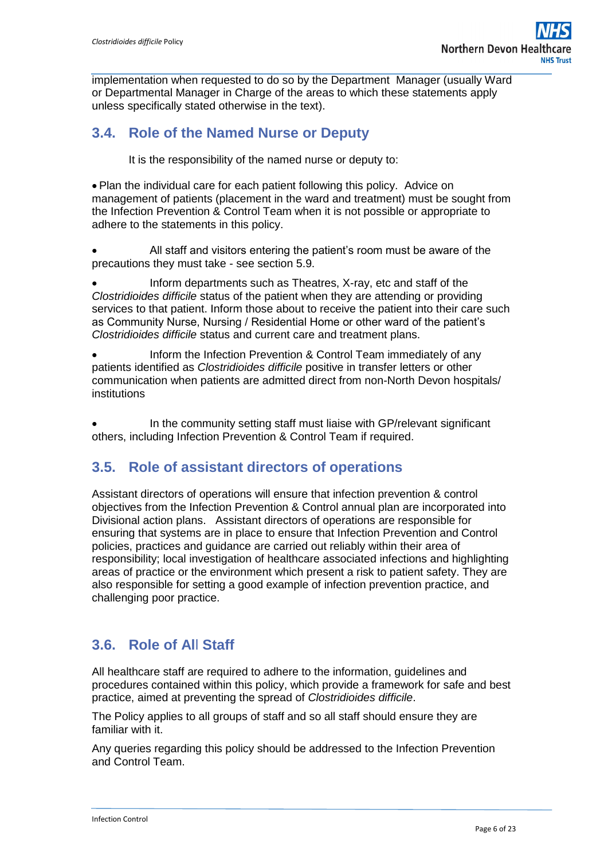implementation when requested to do so by the Department Manager (usually Ward or Departmental Manager in Charge of the areas to which these statements apply unless specifically stated otherwise in the text).

### **3.4. Role of the Named Nurse or Deputy**

It is the responsibility of the named nurse or deputy to:

 Plan the individual care for each patient following this policy. Advice on management of patients (placement in the ward and treatment) must be sought from the Infection Prevention & Control Team when it is not possible or appropriate to adhere to the statements in this policy.

 All staff and visitors entering the patient's room must be aware of the precautions they must take - see section 5.9.

 Inform departments such as Theatres, X-ray, etc and staff of the *Clostridioides difficile* status of the patient when they are attending or providing services to that patient. Inform those about to receive the patient into their care such as Community Nurse, Nursing / Residential Home or other ward of the patient's *Clostridioides difficile* status and current care and treatment plans.

 Inform the Infection Prevention & Control Team immediately of any patients identified as *Clostridioides difficile* positive in transfer letters or other communication when patients are admitted direct from non-North Devon hospitals/ institutions

 In the community setting staff must liaise with GP/relevant significant others, including Infection Prevention & Control Team if required.

### **3.5. Role of assistant directors of operations**

Assistant directors of operations will ensure that infection prevention & control objectives from the Infection Prevention & Control annual plan are incorporated into Divisional action plans. Assistant directors of operations are responsible for ensuring that systems are in place to ensure that Infection Prevention and Control policies, practices and guidance are carried out reliably within their area of responsibility; local investigation of healthcare associated infections and highlighting areas of practice or the environment which present a risk to patient safety. They are also responsible for setting a good example of infection prevention practice, and challenging poor practice.

## **3.6. Role of Al**l **Staff**

All healthcare staff are required to adhere to the information, guidelines and procedures contained within this policy, which provide a framework for safe and best practice, aimed at preventing the spread of *Clostridioides difficile*.

The Policy applies to all groups of staff and so all staff should ensure they are familiar with it.

Any queries regarding this policy should be addressed to the Infection Prevention and Control Team.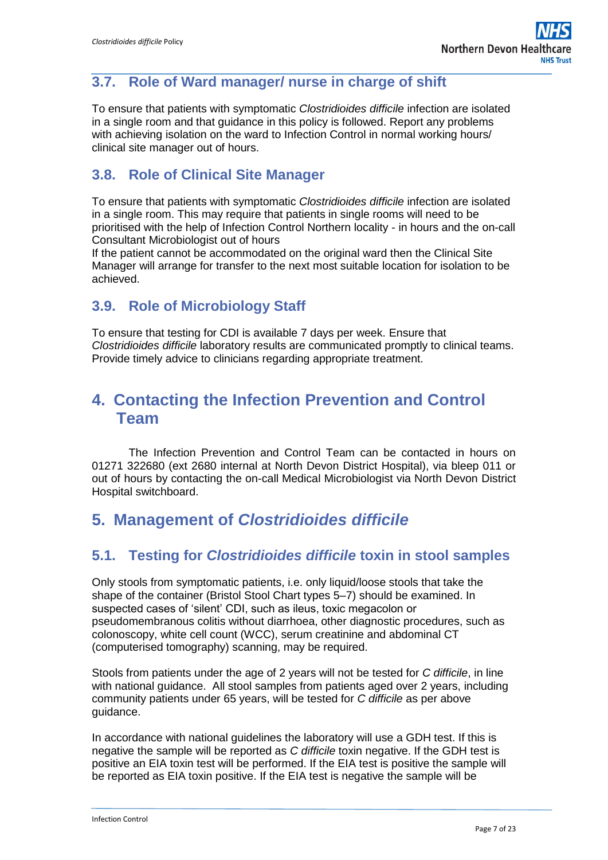### **3.7. Role of Ward manager/ nurse in charge of shift**

To ensure that patients with symptomatic *Clostridioides difficile* infection are isolated in a single room and that guidance in this policy is followed. Report any problems with achieving isolation on the ward to Infection Control in normal working hours/ clinical site manager out of hours.

### **3.8. Role of Clinical Site Manager**

To ensure that patients with symptomatic *Clostridioides difficile* infection are isolated in a single room. This may require that patients in single rooms will need to be prioritised with the help of Infection Control Northern locality - in hours and the on-call Consultant Microbiologist out of hours

If the patient cannot be accommodated on the original ward then the Clinical Site Manager will arrange for transfer to the next most suitable location for isolation to be achieved.

### **3.9. Role of Microbiology Staff**

To ensure that testing for CDI is available 7 days per week. Ensure that *Clostridioides difficile* laboratory results are communicated promptly to clinical teams. Provide timely advice to clinicians regarding appropriate treatment.

## <span id="page-6-0"></span>**4. Contacting the Infection Prevention and Control Team**

The Infection Prevention and Control Team can be contacted in hours on 01271 322680 (ext 2680 internal at North Devon District Hospital), via bleep 011 or out of hours by contacting the on-call Medical Microbiologist via North Devon District Hospital switchboard.

## <span id="page-6-1"></span>**5. Management of** *Clostridioides difficile*

### **5.1. Testing for** *Clostridioides difficile* **toxin in stool samples**

Only stools from symptomatic patients, i.e. only liquid/loose stools that take the shape of the container (Bristol Stool Chart types 5–7) should be examined. In suspected cases of 'silent' CDI, such as ileus, toxic megacolon or pseudomembranous colitis without diarrhoea, other diagnostic procedures, such as colonoscopy, white cell count (WCC), serum creatinine and abdominal CT (computerised tomography) scanning, may be required.

Stools from patients under the age of 2 years will not be tested for *C difficile*, in line with national guidance. All stool samples from patients aged over 2 years, including community patients under 65 years, will be tested for *C difficile* as per above guidance.

In accordance with national guidelines the laboratory will use a GDH test. If this is negative the sample will be reported as *C difficile* toxin negative. If the GDH test is positive an EIA toxin test will be performed. If the EIA test is positive the sample will be reported as EIA toxin positive. If the EIA test is negative the sample will be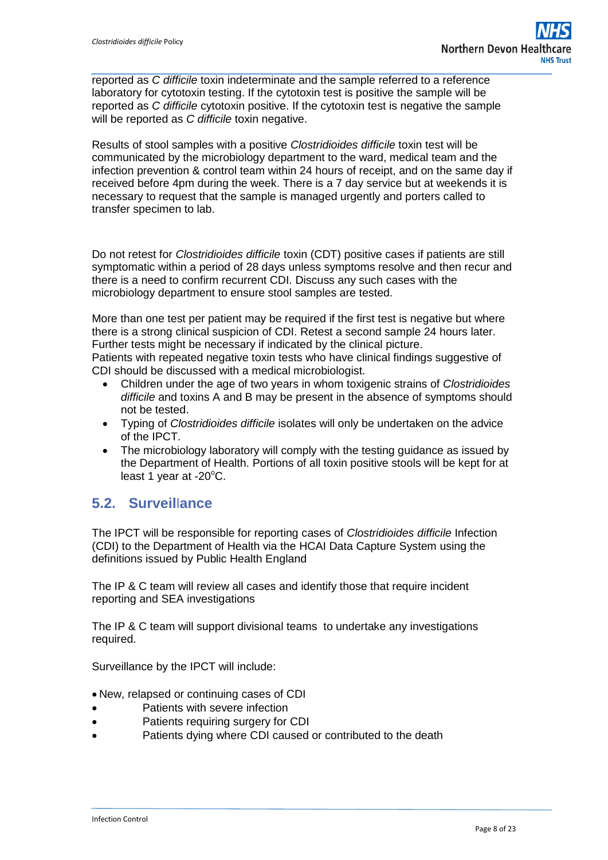reported as *C difficile* toxin indeterminate and the sample referred to a reference laboratory for cytotoxin testing. If the cytotoxin test is positive the sample will be reported as *C difficile* cytotoxin positive. If the cytotoxin test is negative the sample will be reported as *C difficile* toxin negative.

Results of stool samples with a positive *Clostridioides difficile* toxin test will be communicated by the microbiology department to the ward, medical team and the infection prevention & control team within 24 hours of receipt, and on the same day if received before 4pm during the week. There is a 7 day service but at weekends it is necessary to request that the sample is managed urgently and porters called to transfer specimen to lab.

Do not retest for *Clostridioides difficile* toxin (CDT) positive cases if patients are still symptomatic within a period of 28 days unless symptoms resolve and then recur and there is a need to confirm recurrent CDI. Discuss any such cases with the microbiology department to ensure stool samples are tested.

More than one test per patient may be required if the first test is negative but where there is a strong clinical suspicion of CDI. Retest a second sample 24 hours later. Further tests might be necessary if indicated by the clinical picture.

Patients with repeated negative toxin tests who have clinical findings suggestive of CDI should be discussed with a medical microbiologist.

- Children under the age of two years in whom toxigenic strains of *Clostridioides difficile* and toxins A and B may be present in the absence of symptoms should not be tested.
- Typing of *Clostridioides difficile* isolates will only be undertaken on the advice of the IPCT.
- The microbiology laboratory will comply with the testing guidance as issued by the Department of Health. Portions of all toxin positive stools will be kept for at least 1 year at  $-20^{\circ}$ C.

### **5.2. Surveil**l**ance**

The IPCT will be responsible for reporting cases of *Clostridioides difficile* Infection (CDI) to the Department of Health via the HCAI Data Capture System using the definitions issued by Public Health England

The IP & C team will review all cases and identify those that require incident reporting and SEA investigations

The IP & C team will support divisional teams to undertake any investigations required.

Surveillance by the IPCT will include:

- New, relapsed or continuing cases of CDI
- Patients with severe infection
- Patients requiring surgery for CDI
- Patients dying where CDI caused or contributed to the death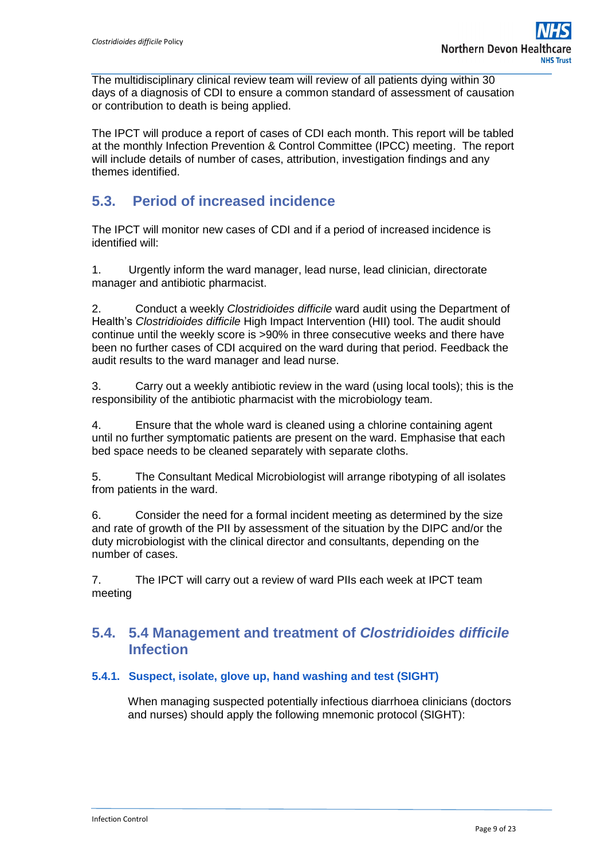The multidisciplinary clinical review team will review of all patients dying within 30 days of a diagnosis of CDI to ensure a common standard of assessment of causation or contribution to death is being applied.

The IPCT will produce a report of cases of CDI each month. This report will be tabled at the monthly Infection Prevention & Control Committee (IPCC) meeting. The report will include details of number of cases, attribution, investigation findings and any themes identified.

### **5.3. Period of increased incidence**

The IPCT will monitor new cases of CDI and if a period of increased incidence is identified will:

1. Urgently inform the ward manager, lead nurse, lead clinician, directorate manager and antibiotic pharmacist.

2. Conduct a weekly *Clostridioides difficile* ward audit using the Department of Health's *Clostridioides difficile* High Impact Intervention (HII) tool. The audit should continue until the weekly score is >90% in three consecutive weeks and there have been no further cases of CDI acquired on the ward during that period. Feedback the audit results to the ward manager and lead nurse.

3. Carry out a weekly antibiotic review in the ward (using local tools); this is the responsibility of the antibiotic pharmacist with the microbiology team.

4. Ensure that the whole ward is cleaned using a chlorine containing agent until no further symptomatic patients are present on the ward. Emphasise that each bed space needs to be cleaned separately with separate cloths.

5. The Consultant Medical Microbiologist will arrange ribotyping of all isolates from patients in the ward.

6. Consider the need for a formal incident meeting as determined by the size and rate of growth of the PII by assessment of the situation by the DIPC and/or the duty microbiologist with the clinical director and consultants, depending on the number of cases.

7. The IPCT will carry out a review of ward PIIs each week at IPCT team meeting

### **5.4. 5.4 Management and treatment of** *Clostridioides difficile* **Infection**

#### **5.4.1. Suspect, isolate, glove up, hand washing and test (SIGHT)**

When managing suspected potentially infectious diarrhoea clinicians (doctors and nurses) should apply the following mnemonic protocol (SIGHT):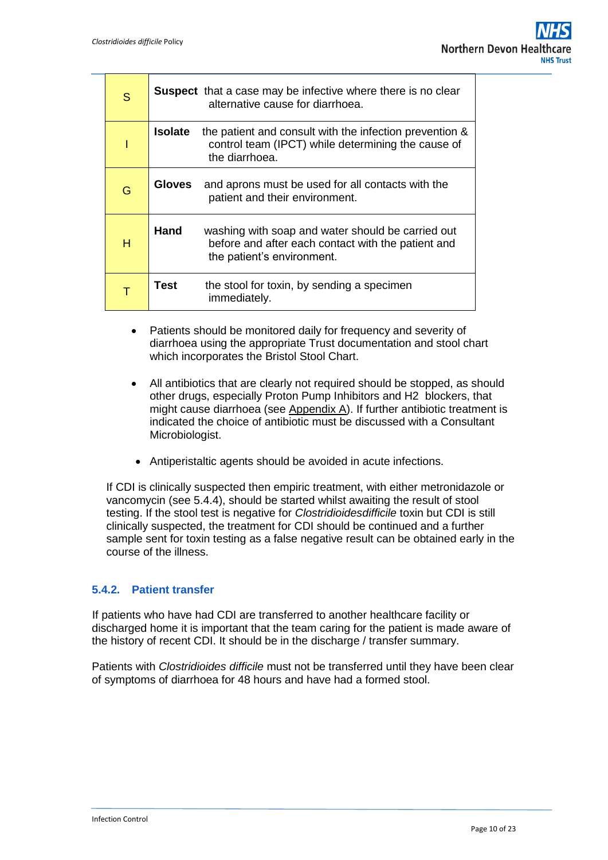| S | <b>Suspect</b> that a case may be infective where there is no clear<br>alternative cause for diarrhoea.                                           |
|---|---------------------------------------------------------------------------------------------------------------------------------------------------|
|   | <b>Isolate</b><br>the patient and consult with the infection prevention &<br>control team (IPCT) while determining the cause of<br>the diarrhoea. |
| G | and aprons must be used for all contacts with the<br>Gloves<br>patient and their environment.                                                     |
| н | Hand<br>washing with soap and water should be carried out<br>before and after each contact with the patient and<br>the patient's environment.     |
|   | Test<br>the stool for toxin, by sending a specimen<br>immediately.                                                                                |

- Patients should be monitored daily for frequency and severity of diarrhoea using the appropriate Trust documentation and stool chart which incorporates the Bristol Stool Chart.
- All antibiotics that are clearly not required should be stopped, as should other drugs, especially Proton Pump Inhibitors and H2 blockers, that might cause diarrhoea (see Appendix A). If further antibiotic treatment is indicated the choice of antibiotic must be discussed with a Consultant Microbiologist.
- Antiperistaltic agents should be avoided in acute infections.

If CDI is clinically suspected then empiric treatment, with either metronidazole or vancomycin (see 5.4.4), should be started whilst awaiting the result of stool testing. If the stool test is negative for *Clostridioidesdifficile* toxin but CDI is still clinically suspected, the treatment for CDI should be continued and a further sample sent for toxin testing as a false negative result can be obtained early in the course of the illness.

#### **5.4.2. Patient transfer**

If patients who have had CDI are transferred to another healthcare facility or discharged home it is important that the team caring for the patient is made aware of the history of recent CDI. It should be in the discharge / transfer summary.

Patients with *Clostridioides difficile* must not be transferred until they have been clear of symptoms of diarrhoea for 48 hours and have had a formed stool.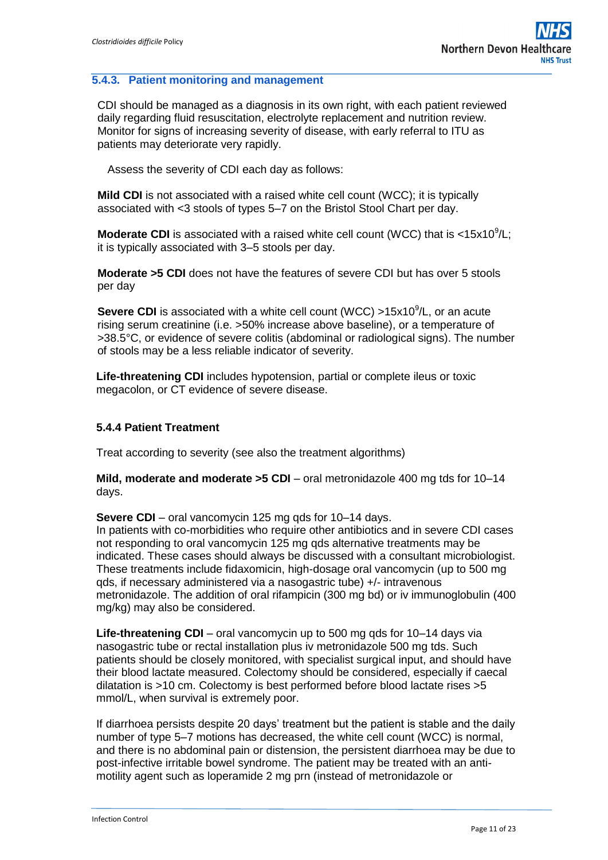#### **5.4.3. Patient monitoring and management**

CDI should be managed as a diagnosis in its own right, with each patient reviewed daily regarding fluid resuscitation, electrolyte replacement and nutrition review. Monitor for signs of increasing severity of disease, with early referral to ITU as patients may deteriorate very rapidly.

Assess the severity of CDI each day as follows:

**Mild CDI** is not associated with a raised white cell count (WCC); it is typically associated with <3 stools of types 5–7 on the Bristol Stool Chart per day.

**Moderate CDI** is associated with a raised white cell count (WCC) that is  $<15x10^9/L$ ; it is typically associated with 3–5 stools per day.

**Moderate >5 CDI** does not have the features of severe CDI but has over 5 stools per day

**Severe CDI** is associated with a white cell count (WCC) >15x10<sup>9</sup>/L, or an acute rising serum creatinine (i.e. >50% increase above baseline), or a temperature of >38.5°C, or evidence of severe colitis (abdominal or radiological signs). The number of stools may be a less reliable indicator of severity.

**Life-threatening CDI** includes hypotension, partial or complete ileus or toxic megacolon, or CT evidence of severe disease.

#### **5.4.4 Patient Treatment**

Treat according to severity (see also the treatment algorithms)

**Mild, moderate and moderate >5 CDI** – oral metronidazole 400 mg tds for 10–14 days.

**Severe CDI** – oral vancomycin 125 mg qds for 10–14 days.

In patients with co-morbidities who require other antibiotics and in severe CDI cases not responding to oral vancomycin 125 mg qds alternative treatments may be indicated. These cases should always be discussed with a consultant microbiologist. These treatments include fidaxomicin, high-dosage oral vancomycin (up to 500 mg qds, if necessary administered via a nasogastric tube) +/- intravenous metronidazole. The addition of oral rifampicin (300 mg bd) or iv immunoglobulin (400 mg/kg) may also be considered.

**Life-threatening CDI** – oral vancomycin up to 500 mg qds for 10–14 days via nasogastric tube or rectal installation plus iv metronidazole 500 mg tds. Such patients should be closely monitored, with specialist surgical input, and should have their blood lactate measured. Colectomy should be considered, especially if caecal dilatation is >10 cm. Colectomy is best performed before blood lactate rises >5 mmol/L, when survival is extremely poor.

If diarrhoea persists despite 20 days' treatment but the patient is stable and the daily number of type 5–7 motions has decreased, the white cell count (WCC) is normal, and there is no abdominal pain or distension, the persistent diarrhoea may be due to post-infective irritable bowel syndrome. The patient may be treated with an antimotility agent such as loperamide 2 mg prn (instead of metronidazole or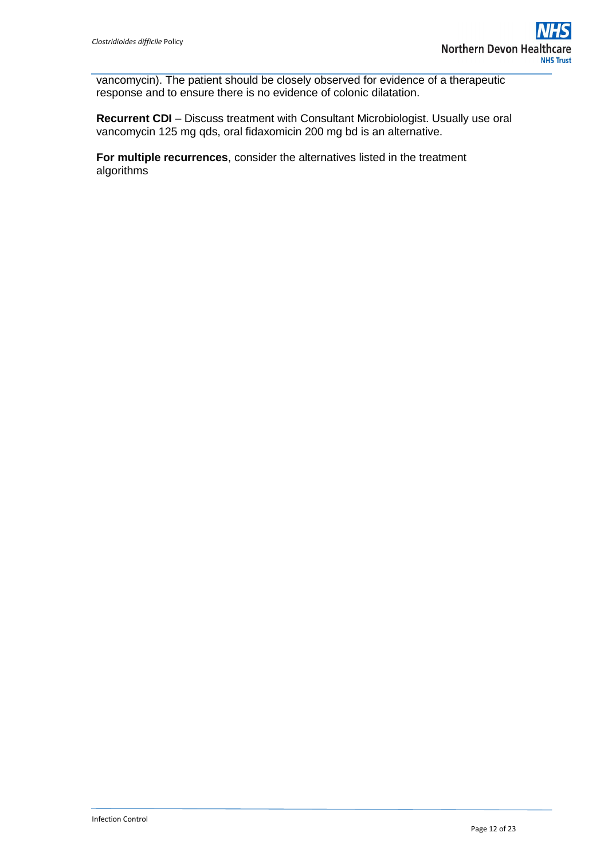vancomycin). The patient should be closely observed for evidence of a therapeutic response and to ensure there is no evidence of colonic dilatation.

**Recurrent CDI** – Discuss treatment with Consultant Microbiologist. Usually use oral vancomycin 125 mg qds, oral fidaxomicin 200 mg bd is an alternative.

**For multiple recurrences**, consider the alternatives listed in the treatment algorithms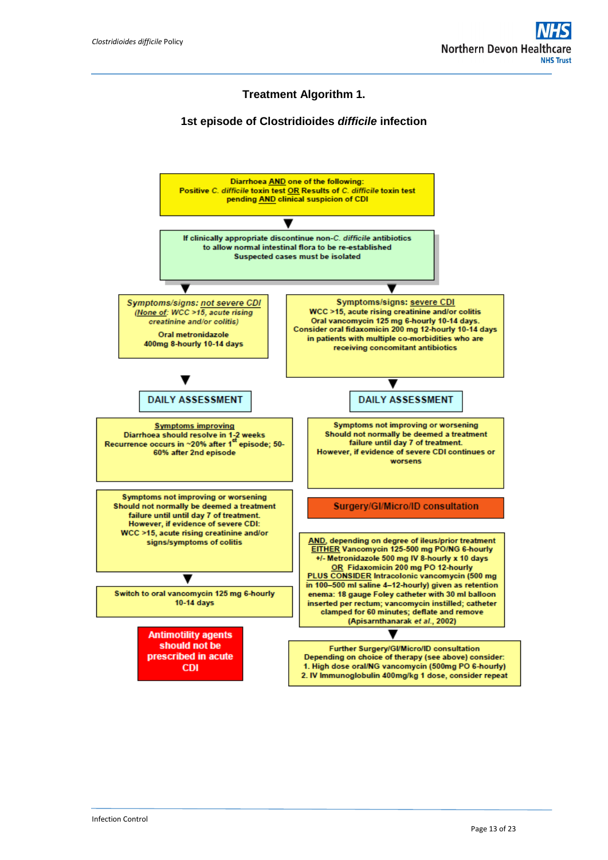#### **Treatment Algorithm 1.**

#### **1st episode of Clostridioides** *difficile* **infection**

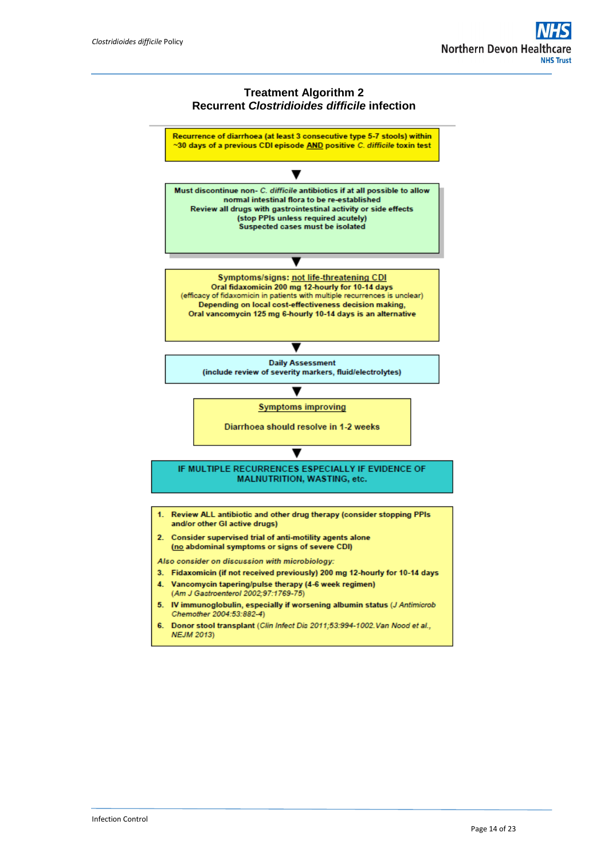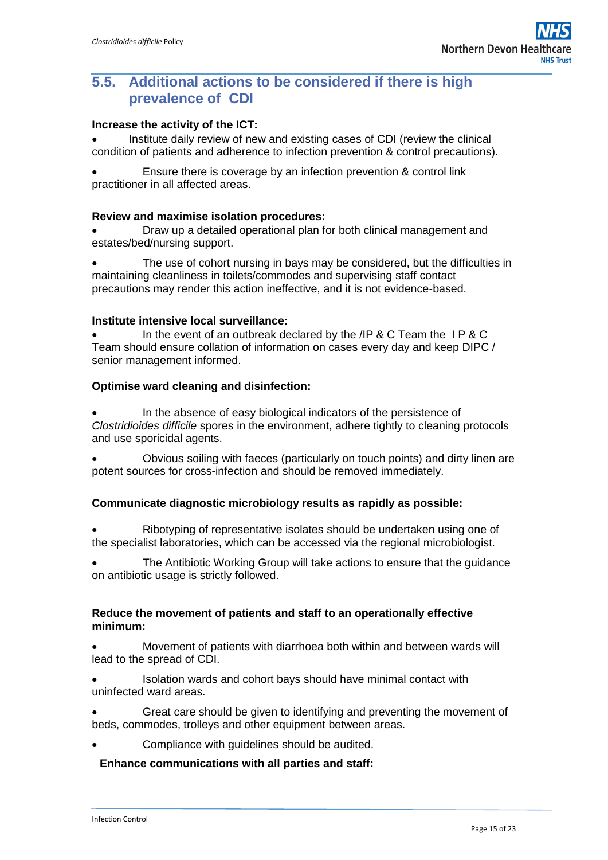### **5.5. Additional actions to be considered if there is high prevalence of CDI**

#### **Increase the activity of the ICT:**

 Institute daily review of new and existing cases of CDI (review the clinical condition of patients and adherence to infection prevention & control precautions).

 Ensure there is coverage by an infection prevention & control link practitioner in all affected areas.

#### **Review and maximise isolation procedures:**

 Draw up a detailed operational plan for both clinical management and estates/bed/nursing support.

 The use of cohort nursing in bays may be considered, but the difficulties in maintaining cleanliness in toilets/commodes and supervising staff contact precautions may render this action ineffective, and it is not evidence-based.

#### **Institute intensive local surveillance:**

In the event of an outbreak declared by the /IP & C Team the IP & C Team should ensure collation of information on cases every day and keep DIPC / senior management informed.

#### **Optimise ward cleaning and disinfection:**

 In the absence of easy biological indicators of the persistence of *Clostridioides difficile* spores in the environment, adhere tightly to cleaning protocols and use sporicidal agents.

 Obvious soiling with faeces (particularly on touch points) and dirty linen are potent sources for cross-infection and should be removed immediately.

#### **Communicate diagnostic microbiology results as rapidly as possible:**

 Ribotyping of representative isolates should be undertaken using one of the specialist laboratories, which can be accessed via the regional microbiologist.

 The Antibiotic Working Group will take actions to ensure that the guidance on antibiotic usage is strictly followed.

#### **Reduce the movement of patients and staff to an operationally effective minimum:**

 Movement of patients with diarrhoea both within and between wards will lead to the spread of CDI.

 Isolation wards and cohort bays should have minimal contact with uninfected ward areas.

 Great care should be given to identifying and preventing the movement of beds, commodes, trolleys and other equipment between areas.

Compliance with guidelines should be audited.

#### **Enhance communications with all parties and staff:**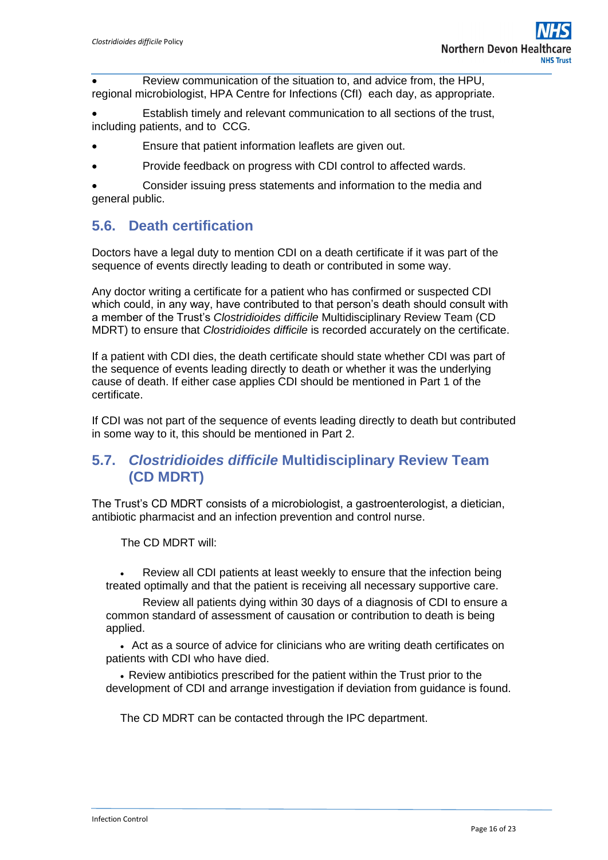Review communication of the situation to, and advice from, the HPU, regional microbiologist, HPA Centre for Infections (CfI) each day, as appropriate.

 Establish timely and relevant communication to all sections of the trust, including patients, and to CCG.

- Ensure that patient information leaflets are given out.
- Provide feedback on progress with CDI control to affected wards.

 Consider issuing press statements and information to the media and general public.

### **5.6. Death certification**

Doctors have a legal duty to mention CDI on a death certificate if it was part of the sequence of events directly leading to death or contributed in some way.

Any doctor writing a certificate for a patient who has confirmed or suspected CDI which could, in any way, have contributed to that person's death should consult with a member of the Trust's *Clostridioides difficile* Multidisciplinary Review Team (CD MDRT) to ensure that *Clostridioides difficile* is recorded accurately on the certificate.

If a patient with CDI dies, the death certificate should state whether CDI was part of the sequence of events leading directly to death or whether it was the underlying cause of death. If either case applies CDI should be mentioned in Part 1 of the certificate.

If CDI was not part of the sequence of events leading directly to death but contributed in some way to it, this should be mentioned in Part 2.

### **5.7.** *Clostridioides difficile* **Multidisciplinary Review Team (CD MDRT)**

The Trust's CD MDRT consists of a microbiologist, a gastroenterologist, a dietician, antibiotic pharmacist and an infection prevention and control nurse.

The CD MDRT will:

 Review all CDI patients at least weekly to ensure that the infection being treated optimally and that the patient is receiving all necessary supportive care.

Review all patients dying within 30 days of a diagnosis of CDI to ensure a common standard of assessment of causation or contribution to death is being applied.

 Act as a source of advice for clinicians who are writing death certificates on patients with CDI who have died.

 Review antibiotics prescribed for the patient within the Trust prior to the development of CDI and arrange investigation if deviation from guidance is found.

The CD MDRT can be contacted through the IPC department.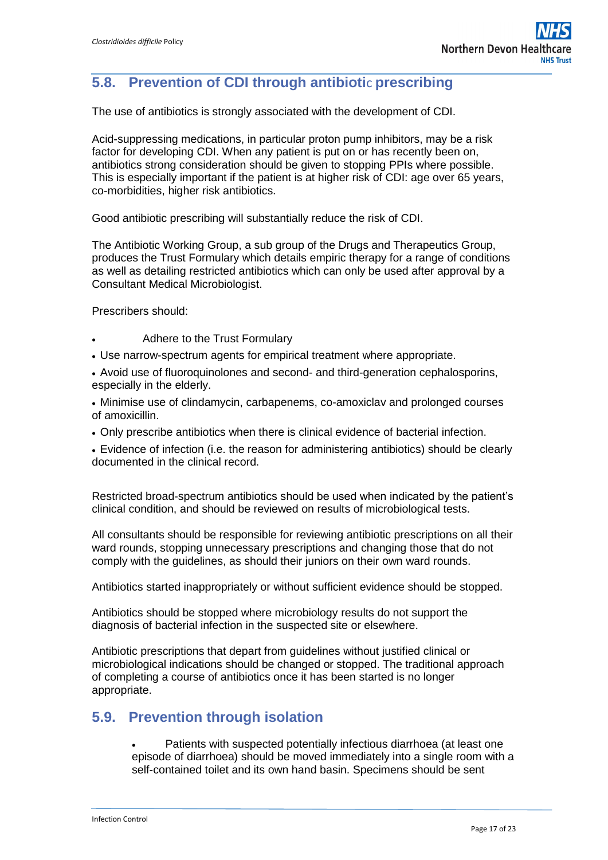## **5.8. Prevention of CDI through antibioti**c **prescribing**

The use of antibiotics is strongly associated with the development of CDI.

Acid-suppressing medications, in particular proton pump inhibitors, may be a risk factor for developing CDI. When any patient is put on or has recently been on, antibiotics strong consideration should be given to stopping PPIs where possible. This is especially important if the patient is at higher risk of CDI: age over 65 years, co-morbidities, higher risk antibiotics.

Good antibiotic prescribing will substantially reduce the risk of CDI.

The Antibiotic Working Group, a sub group of the Drugs and Therapeutics Group, produces the Trust Formulary which details empiric therapy for a range of conditions as well as detailing restricted antibiotics which can only be used after approval by a Consultant Medical Microbiologist.

Prescribers should:

- Adhere to the Trust Formulary
- Use narrow-spectrum agents for empirical treatment where appropriate.

 Avoid use of fluoroquinolones and second- and third-generation cephalosporins, especially in the elderly.

 Minimise use of clindamycin, carbapenems, co-amoxiclav and prolonged courses of amoxicillin.

Only prescribe antibiotics when there is clinical evidence of bacterial infection.

 Evidence of infection (i.e. the reason for administering antibiotics) should be clearly documented in the clinical record.

Restricted broad-spectrum antibiotics should be used when indicated by the patient's clinical condition, and should be reviewed on results of microbiological tests.

All consultants should be responsible for reviewing antibiotic prescriptions on all their ward rounds, stopping unnecessary prescriptions and changing those that do not comply with the guidelines, as should their juniors on their own ward rounds.

Antibiotics started inappropriately or without sufficient evidence should be stopped.

Antibiotics should be stopped where microbiology results do not support the diagnosis of bacterial infection in the suspected site or elsewhere.

Antibiotic prescriptions that depart from guidelines without justified clinical or microbiological indications should be changed or stopped. The traditional approach of completing a course of antibiotics once it has been started is no longer appropriate.

### **5.9. Prevention through isolation**

 Patients with suspected potentially infectious diarrhoea (at least one episode of diarrhoea) should be moved immediately into a single room with a self-contained toilet and its own hand basin. Specimens should be sent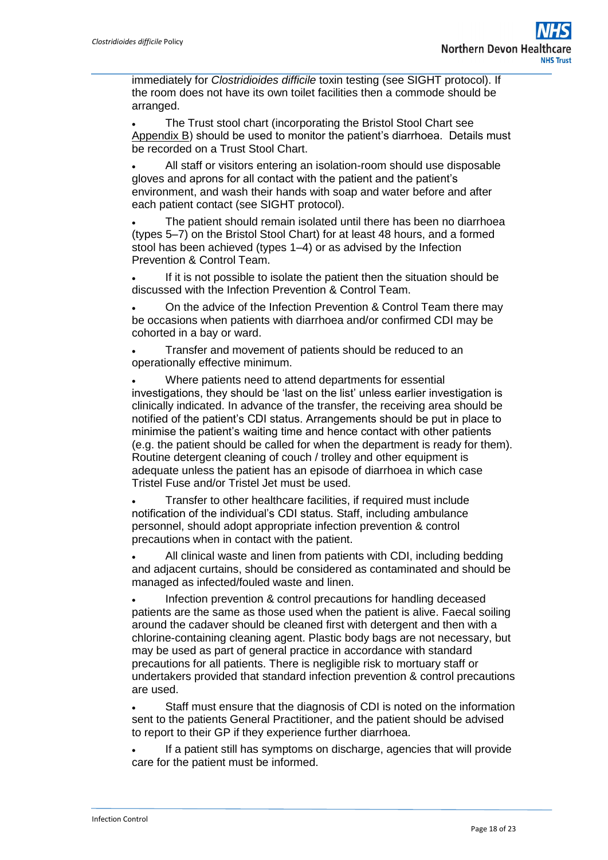immediately for *Clostridioides difficile* toxin testing (see SIGHT protocol). If the room does not have its own toilet facilities then a commode should be arranged.

 The Trust stool chart (incorporating the Bristol Stool Chart see Appendix B) should be used to monitor the patient's diarrhoea. Details must be recorded on a Trust Stool Chart.

 All staff or visitors entering an isolation-room should use disposable gloves and aprons for all contact with the patient and the patient's environment, and wash their hands with soap and water before and after each patient contact (see SIGHT protocol).

 The patient should remain isolated until there has been no diarrhoea (types 5–7) on the Bristol Stool Chart) for at least 48 hours, and a formed stool has been achieved (types 1–4) or as advised by the Infection Prevention & Control Team.

 If it is not possible to isolate the patient then the situation should be discussed with the Infection Prevention & Control Team.

 On the advice of the Infection Prevention & Control Team there may be occasions when patients with diarrhoea and/or confirmed CDI may be cohorted in a bay or ward.

 Transfer and movement of patients should be reduced to an operationally effective minimum.

 Where patients need to attend departments for essential investigations, they should be 'last on the list' unless earlier investigation is clinically indicated. In advance of the transfer, the receiving area should be notified of the patient's CDI status. Arrangements should be put in place to minimise the patient's waiting time and hence contact with other patients (e.g. the patient should be called for when the department is ready for them). Routine detergent cleaning of couch / trolley and other equipment is adequate unless the patient has an episode of diarrhoea in which case Tristel Fuse and/or Tristel Jet must be used.

 Transfer to other healthcare facilities, if required must include notification of the individual's CDI status. Staff, including ambulance personnel, should adopt appropriate infection prevention & control precautions when in contact with the patient.

 All clinical waste and linen from patients with CDI, including bedding and adjacent curtains, should be considered as contaminated and should be managed as infected/fouled waste and linen.

 Infection prevention & control precautions for handling deceased patients are the same as those used when the patient is alive. Faecal soiling around the cadaver should be cleaned first with detergent and then with a chlorine-containing cleaning agent. Plastic body bags are not necessary, but may be used as part of general practice in accordance with standard precautions for all patients. There is negligible risk to mortuary staff or undertakers provided that standard infection prevention & control precautions are used.

 Staff must ensure that the diagnosis of CDI is noted on the information sent to the patients General Practitioner, and the patient should be advised to report to their GP if they experience further diarrhoea.

 If a patient still has symptoms on discharge, agencies that will provide care for the patient must be informed.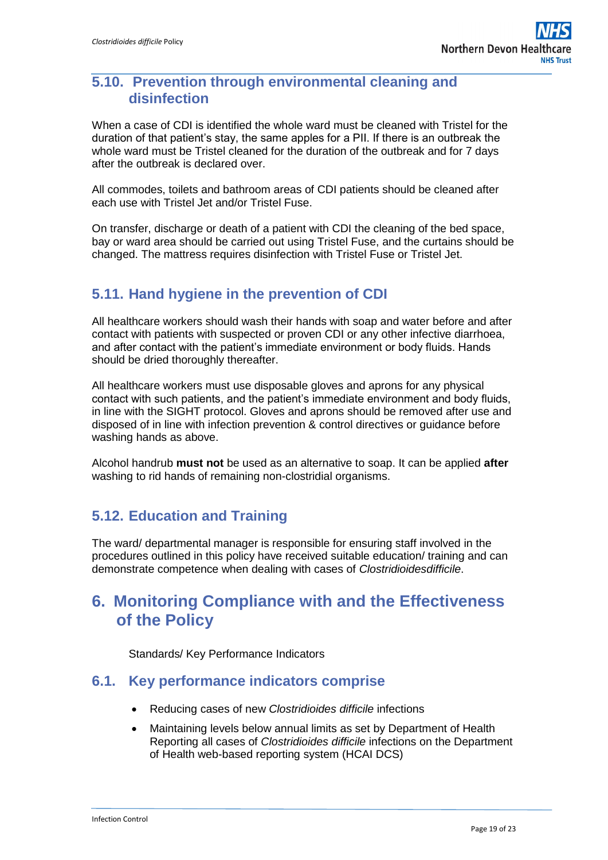### **5.10. Prevention through environmental cleaning and disinfection**

When a case of CDI is identified the whole ward must be cleaned with Tristel for the duration of that patient's stay, the same apples for a PII. If there is an outbreak the whole ward must be Tristel cleaned for the duration of the outbreak and for 7 days after the outbreak is declared over.

All commodes, toilets and bathroom areas of CDI patients should be cleaned after each use with Tristel Jet and/or Tristel Fuse.

On transfer, discharge or death of a patient with CDI the cleaning of the bed space, bay or ward area should be carried out using Tristel Fuse, and the curtains should be changed. The mattress requires disinfection with Tristel Fuse or Tristel Jet.

### **5.11. Hand hygiene in the prevention of CDI**

All healthcare workers should wash their hands with soap and water before and after contact with patients with suspected or proven CDI or any other infective diarrhoea, and after contact with the patient's immediate environment or body fluids. Hands should be dried thoroughly thereafter.

All healthcare workers must use disposable gloves and aprons for any physical contact with such patients, and the patient's immediate environment and body fluids, in line with the SIGHT protocol. Gloves and aprons should be removed after use and disposed of in line with infection prevention & control directives or guidance before washing hands as above.

Alcohol handrub **must not** be used as an alternative to soap. It can be applied **after**  washing to rid hands of remaining non-clostridial organisms.

### **5.12. Education and Training**

The ward/ departmental manager is responsible for ensuring staff involved in the procedures outlined in this policy have received suitable education/ training and can demonstrate competence when dealing with cases of *Clostridioidesdifficile*.

## <span id="page-18-0"></span>**6. Monitoring Compliance with and the Effectiveness of the Policy**

Standards/ Key Performance Indicators

#### **6.1. Key performance indicators comprise**

- Reducing cases of new *Clostridioides difficile* infections
- Maintaining levels below annual limits as set by Department of Health Reporting all cases of *Clostridioides difficile* infections on the Department of Health web-based reporting system (HCAI DCS)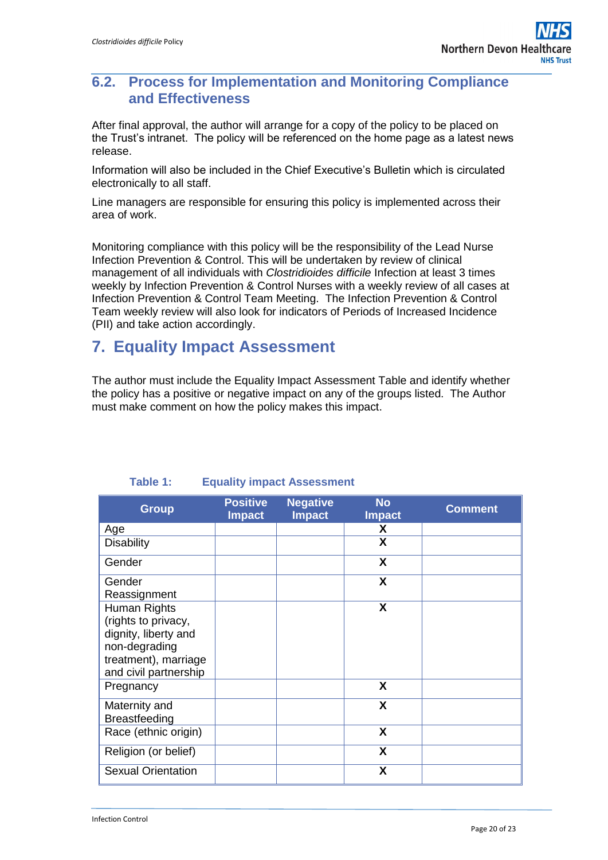### **6.2. Process for Implementation and Monitoring Compliance and Effectiveness**

After final approval, the author will arrange for a copy of the policy to be placed on the Trust's intranet. The policy will be referenced on the home page as a latest news release.

Information will also be included in the Chief Executive's Bulletin which is circulated electronically to all staff.

Line managers are responsible for ensuring this policy is implemented across their area of work.

Monitoring compliance with this policy will be the responsibility of the Lead Nurse Infection Prevention & Control. This will be undertaken by review of clinical management of all individuals with *Clostridioides difficile* Infection at least 3 times weekly by Infection Prevention & Control Nurses with a weekly review of all cases at Infection Prevention & Control Team Meeting. The Infection Prevention & Control Team weekly review will also look for indicators of Periods of Increased Incidence (PII) and take action accordingly.

## <span id="page-19-0"></span>**7. Equality Impact Assessment**

The author must include the Equality Impact Assessment Table and identify whether the policy has a positive or negative impact on any of the groups listed. The Author must make comment on how the policy makes this impact.

| <b>Group</b>              | <b>Positive</b><br><b>Impact</b> | <b>Negative</b><br><b>Impact</b> | <b>No</b><br><b>Impact</b> | <b>Comment</b> |
|---------------------------|----------------------------------|----------------------------------|----------------------------|----------------|
| Age                       |                                  |                                  | X                          |                |
| <b>Disability</b>         |                                  |                                  | X                          |                |
| Gender                    |                                  |                                  | X                          |                |
| Gender                    |                                  |                                  | X                          |                |
| Reassignment              |                                  |                                  |                            |                |
| Human Rights              |                                  |                                  | X                          |                |
| (rights to privacy,       |                                  |                                  |                            |                |
| dignity, liberty and      |                                  |                                  |                            |                |
| non-degrading             |                                  |                                  |                            |                |
| treatment), marriage      |                                  |                                  |                            |                |
| and civil partnership     |                                  |                                  |                            |                |
| Pregnancy                 |                                  |                                  | X                          |                |
| Maternity and             |                                  |                                  | X                          |                |
| <b>Breastfeeding</b>      |                                  |                                  |                            |                |
| Race (ethnic origin)      |                                  |                                  | X                          |                |
| Religion (or belief)      |                                  |                                  | X                          |                |
| <b>Sexual Orientation</b> |                                  |                                  | X                          |                |

#### **Table 1: Equality impact Assessment**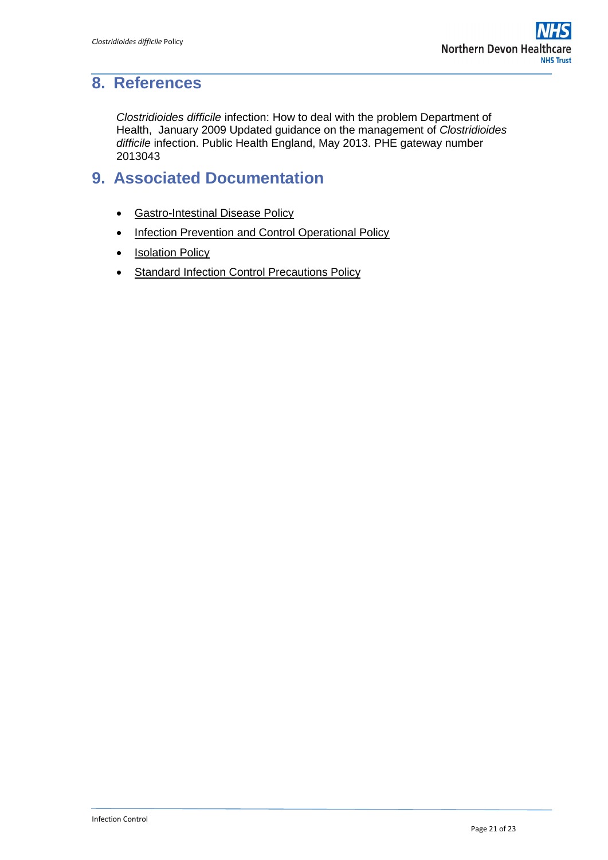## <span id="page-20-0"></span>**8. References**

*Clostridioides difficile* infection: How to deal with the problem Department of Health, January 2009 Updated guidance on the management of *Clostridioides difficile* infection. Public Health England, May 2013. PHE gateway number 2013043

## <span id="page-20-1"></span>**9. Associated Documentation**

- **[Gastro-Intestinal Disease Policy](http://ndht.ndevon.swest.nhs.uk/policies/?p=1251)**
- [Infection Prevention and Control Operational Policy](http://ndht.ndevon.swest.nhs.uk/policies/?p=1260)
- [Isolation Policy](http://ndht.ndevon.swest.nhs.uk/policies/?p=1267)
- [Standard Infection Control Precautions Policy](http://ndht.ndevon.swest.nhs.uk/policies/?p=1302)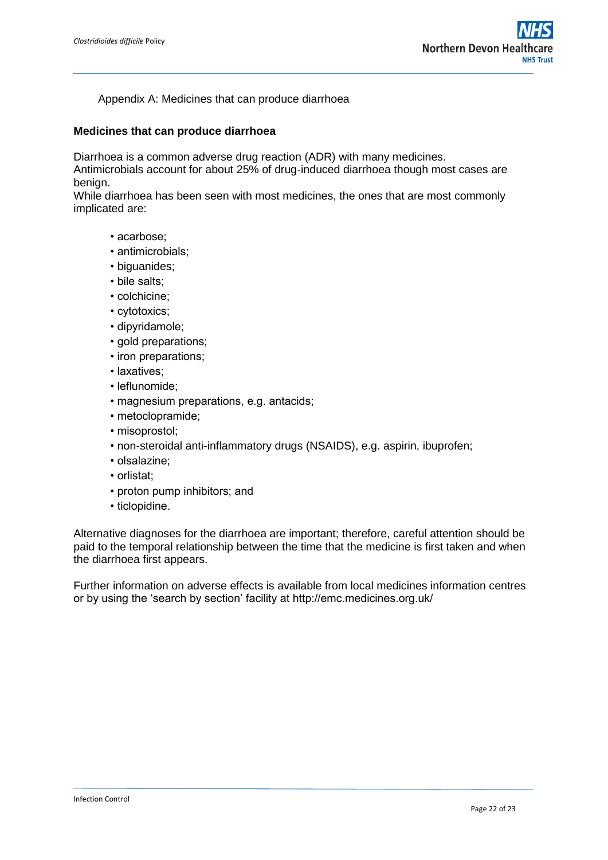#### Appendix A: Medicines that can produce diarrhoea

#### **Medicines that can produce diarrhoea**

Diarrhoea is a common adverse drug reaction (ADR) with many medicines.

Antimicrobials account for about 25% of drug-induced diarrhoea though most cases are benign.

While diarrhoea has been seen with most medicines, the ones that are most commonly implicated are:

- acarbose;
- antimicrobials;
- biguanides;
- bile salts;
- colchicine;
- cytotoxics;
- dipyridamole;
- gold preparations;
- iron preparations;
- laxatives;
- leflunomide;
- magnesium preparations, e.g. antacids;
- metoclopramide;
- misoprostol;
- non-steroidal anti-inflammatory drugs (NSAIDS), e.g. aspirin, ibuprofen;
- olsalazine;
- orlistat;
- proton pump inhibitors; and
- ticlopidine.

Alternative diagnoses for the diarrhoea are important; therefore, careful attention should be paid to the temporal relationship between the time that the medicine is first taken and when the diarrhoea first appears.

Further information on adverse effects is available from local medicines information centres or by using the 'search by section' facility at http://emc.medicines.org.uk/